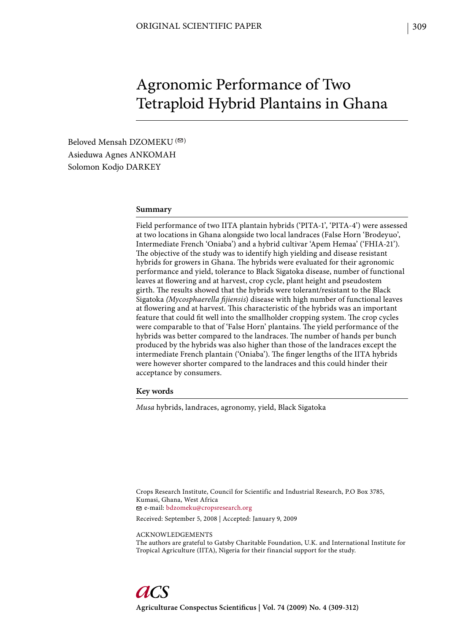# Agronomic Performance of Two Tetraploid Hybrid Plantains in Ghana

Beloved Mensah DZOMEKU<sup>(2)</sup> Asieduwa Agnes ANKOMAH Solomon Kodjo DARKEY

#### **Summary**

Field performance of two IITA plantain hybrids ('PITA-1', 'PITA-4') were assessed at two locations in Ghana alongside two local landraces (False Horn 'Brodeyuo', Intermediate French 'Oniaba') and a hybrid cultivar 'Apem Hemaa' ('FHIA-21'). The objective of the study was to identify high yielding and disease resistant hybrids for growers in Ghana. The hybrids were evaluated for their agronomic performance and yield, tolerance to Black Sigatoka disease, number of functional leaves at flowering and at harvest, crop cycle, plant height and pseudostem girth. The results showed that the hybrids were tolerant/resistant to the Black Sigatoka *(Mycosphaerella fi jiensis*) disease with high number of functional leaves at flowering and at harvest. This characteristic of the hybrids was an important feature that could fit well into the smallholder cropping system. The crop cycles were comparable to that of 'False Horn' plantains. The yield performance of the hybrids was better compared to the landraces. The number of hands per bunch produced by the hybrids was also higher than those of the landraces except the intermediate French plantain ('Oniaba'). The finger lengths of the IITA hybrids were however shorter compared to the landraces and this could hinder their acceptance by consumers.

**Key words**

*Musa* hybrids, landraces, agronomy, yield, Black Sigatoka

Crops Research Institute, Council for Scientific and Industrial Research, P.O Box 3785, Kumasi, Ghana, West Africa e-mail: bdzomeku@cropsresearch.org

Received: September 5, 2008 | Accepted: January 9, 2009

ACKNOWLEDGEMENTS

The authors are grateful to Gatsby Charitable Foundation, U.K. and International Institute for Tropical Agriculture (IITA), Nigeria for their financial support for the study.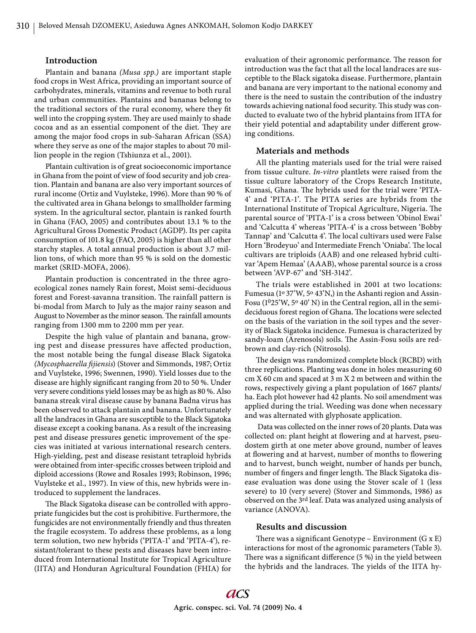## **Introduction**

Plantain and banana *(Musa spp.)* are important staple food crops in West Africa, providing an important source of carbohydrates, minerals, vitamins and revenue to both rural and urban communities. Plantains and bananas belong to the traditional sectors of the rural economy, where they fit well into the cropping system. They are used mainly to shade cocoa and as an essential component of the diet. They are among the major food crops in sub-Saharan African (SSA) where they serve as one of the major staples to about 70 million people in the region (Tshiunza et al., 2001).

Plantain cultivation is of great socioeconomic importance in Ghana from the point of view of food security and job creation. Plantain and banana are also very important sources of rural income (Ortiz and Vuylsteke, 1996). More than 90 % of the cultivated area in Ghana belongs to smallholder farming system. In the agricultural sector, plantain is ranked fourth in Ghana (FAO, 2005) and contributes about 13.1 % to the Agricultural Gross Domestic Product (AGDP). Its per capita consumption of 101.8 kg (FAO, 2005) is higher than all other starchy staples. A total annual production is about 3.7 million tons, of which more than 95 % is sold on the domestic market (SRID-MOFA, 2006).

Plantain production is concentrated in the three agroecological zones namely Rain forest, Moist semi-deciduous forest and Forest-savanna transition. The rainfall pattern is bi-modal from March to July as the major rainy season and August to November as the minor season. The rainfall amounts ranging from 1300 mm to 2200 mm per year.

Despite the high value of plantain and banana, growing pest and disease pressures have affected production, the most notable being the fungal disease Black Sigatoka *(Mycosphaerella fi jiensis*) (Stover and Simmonds, 1987; Ortiz and Vuylsteke, 1996; Swennen, 1990). Yield losses due to the disease are highly significant ranging from 20 to 50 %. Under very severe conditions yield losses may be as high as 80 %. Also banana streak viral disease cause by banana Badna virus has been observed to attack plantain and banana. Unfortunately all the landraces in Ghana are susceptible to the Black Sigatoka disease except a cooking banana. As a result of the increasing pest and disease pressures genetic improvement of the species was initiated at various international research centers. High-yielding, pest and disease resistant tetraploid hybrids were obtained from inter-specific crosses between triploid and diploid accessions (Rowe and Rosales 1993; Robinson, 1996; Vuylsteke et al., 1997). In view of this, new hybrids were introduced to supplement the landraces.

The Black Sigatoka disease can be controlled with appropriate fungicides but the cost is prohibitive. Furthermore, the fungicides are not environmentally friendly and thus threaten the fragile ecosystem. To address these problems, as a long term solution, two new hybrids ('PITA-1' and 'PITA-4'), resistant/tolerant to these pests and diseases have been introduced from International Institute for Tropical Agriculture (IITA) and Honduran Agricultural Foundation (FHIA) for

evaluation of their agronomic performance. The reason for introduction was the fact that all the local landraces are susceptible to the Black sigatoka disease. Furthermore, plantain and banana are very important to the national economy and there is the need to sustain the contribution of the industry towards achieving national food security. This study was conducted to evaluate two of the hybrid plantains from IITA for their yield potential and adaptability under different growing conditions.

### **Materials and methods**

All the planting materials used for the trial were raised from tissue culture. *In-vitro* plantlets were raised from the tissue culture laboratory of the Crops Research Institute, Kumasi, Ghana. The hybrids used for the trial were 'PITA-4' and 'PITA-1'. The PITA series are hybrids from the International Institute of Tropical Agriculture, Nigeria. The parental source of 'PITA-1' is a cross between 'Obinol Ewai' and 'Calcutta 4' whereas 'PITA-4' is a cross between 'Bobby Tannap' and 'Calcutta 4'. The local cultivars used were False Horn 'Brodeyuo' and Intermediate French 'Oniaba'. The local cultivars are triploids (AAB) and one released hybrid cultivar 'Apem Hemaa' (AAAB), whose parental source is a cross between 'AVP-67' and 'SH-3142'.

The trials were established in 2001 at two locations: Fumesua (1º 37'W, 5º 43'N,) in the Ashanti region and Assin-Fosu (1025'W, 50 40' N) in the Central region, all in the semideciduous forest region of Ghana. The locations were selected on the basis of the variation in the soil types and the severity of Black Sigatoka incidence. Fumesua is characterized by sandy-loam (Arenosols) soils. The Assin-Fosu soils are redbrown and clay-rich (Nitrosols).

The design was randomized complete block (RCBD) with three replications. Planting was done in holes measuring 60 cm X 60 cm and spaced at 3 m X 2 m between and within the rows, respectively giving a plant population of 1667 plants/ ha. Each plot however had 42 plants. No soil amendment was applied during the trial. Weeding was done when necessary and was alternated with glyphosate application.

 Data was collected on the inner rows of 20 plants. Data was collected on: plant height at flowering and at harvest, pseudostem girth at one meter above ground, number of leaves at flowering and at harvest, number of months to flowering and to harvest, bunch weight, number of hands per bunch, number of fingers and finger length. The Black Sigatoka disease evaluation was done using the Stover scale of 1 (less severe) to 10 (very severe) (Stover and Simmonds, 1986) as observed on the 3rd leaf. Data was analyzed using analysis of variance (ANOVA).

### **Results and discussion**

There was a significant Genotype – Environment  $(G \times E)$ interactions for most of the agronomic parameters (Table 3). There was a significant difference (5 %) in the yield between the hybrids and the landraces. The yields of the IITA hy-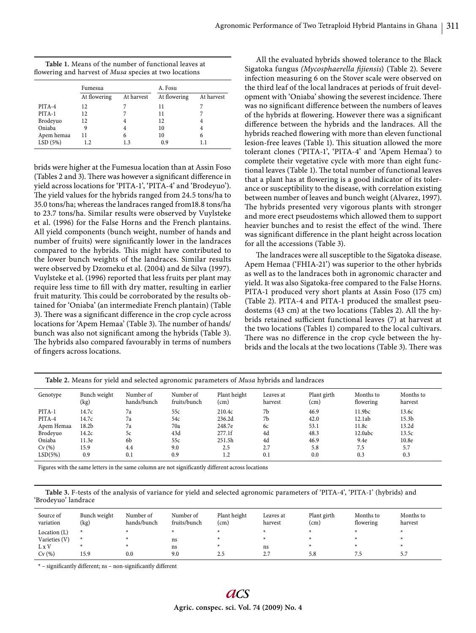| Table 1. Means of the number of functional leaves at          |  |  |
|---------------------------------------------------------------|--|--|
| flowering and harvest of <i>Musa</i> species at two locations |  |  |

|            | Fumesua      |            | A. Fosu      |            |  |
|------------|--------------|------------|--------------|------------|--|
|            | At flowering | At harvest | At flowering | At harvest |  |
| PITA-4     | 12           |            | 11           |            |  |
| PITA-1     | 12           |            | 11           |            |  |
| Brodeyuo   | 12           |            | 12           |            |  |
| Oniaba     |              |            | 10           |            |  |
| Apem hemaa | 11           | 6          | 10           | 6          |  |
| LSD(5%)    | 1.2          | 13         | 0.9          |            |  |

brids were higher at the Fumesua location than at Assin Foso (Tables 2 and 3). There was however a significant difference in yield across locations for 'PITA-1', 'PITA-4' and 'Brodeyuo'). The yield values for the hybrids ranged from 24.5 tons/ha to 35.0 tons/ha; whereas the landraces ranged from18.8 tons/ha to 23.7 tons/ha. Similar results were observed by Vuylsteke et al. (1996) for the False Horns and the French plantains. All yield components (bunch weight, number of hands and number of fruits) were significantly lower in the landraces compared to the hybrids. This might have contributed to the lower bunch weights of the landraces. Similar results were observed by Dzomeku et al. (2004) and de Silva (1997). Vuylsteke et al. (1996) reported that less fruits per plant may require less time to fill with dry matter, resulting in earlier fruit maturity. This could be corroborated by the results obtained for 'Oniaba' (an intermediate French plantain) (Table 3). There was a significant difference in the crop cycle across locations for 'Apem Hemaa' (Table 3). The number of hands/ bunch was also not significant among the hybrids (Table 3). The hybrids also compared favourably in terms of numbers of fingers across locations.

All the evaluated hybrids showed tolerance to the Black Sigatoka fungus *(Mycosphaerella fi jiensis*) (Table 2). Severe infection measuring 6 on the Stover scale were observed on the third leaf of the local landraces at periods of fruit development with 'Oniaba' showing the severest incidence. There was no significant difference between the numbers of leaves of the hybrids at flowering. However there was a significant difference between the hybrids and the landraces. All the hybrids reached flowering with more than eleven functional lesion-free leaves (Table 1). This situation allowed the more tolerant clones ('PITA-1', 'PITA-4' and 'Apem Hemaa') to complete their vegetative cycle with more than eight functional leaves (Table 1). The total number of functional leaves that a plant has at flowering is a good indicator of its tolerance or susceptibility to the disease, with correlation existing between number of leaves and bunch weight (Alvarez, 1997). The hybrids presented very vigorous plants with stronger and more erect pseudostems which allowed them to support heavier bunches and to resist the effect of the wind. There was significant difference in the plant height across location for all the accessions (Table 3).

The landraces were all susceptible to the Sigatoka disease. Apem Hemaa ('FHIA-21') was superior to the other hybrids as well as to the landraces both in agronomic character and yield. It was also Sigatoka-free compared to the False Horns. PITA-1 produced very short plants at Assin Foso (175 cm) (Table 2). PITA-4 and PITA-1 produced the smallest pseudostems (43 cm) at the two locations (Tables 2). All the hybrids retained sufficient functional leaves (7) at harvest at the two locations (Tables 1) compared to the local cultivars. There was no difference in the crop cycle between the hybrids and the locals at the two locations (Table 3). There was

| Table 2. Means for yield and selected agronomic parameters of <i>Musa</i> hybrids and landraces |                      |                          |                           |                      |                      |                     |                        |                      |
|-------------------------------------------------------------------------------------------------|----------------------|--------------------------|---------------------------|----------------------|----------------------|---------------------|------------------------|----------------------|
| Genotype                                                                                        | Bunch weight<br>(kg) | Number of<br>hands/bunch | Number of<br>fruits/bunch | Plant height<br>(cm) | Leaves at<br>harvest | Plant girth<br>(cm) | Months to<br>flowering | Months to<br>harvest |
| PITA-1                                                                                          | 14.7c                | 7a                       | 55c                       | 210.4c               | 7b                   | 46.9                | 11.9 <sub>bc</sub>     | 13.6c                |
| PITA-4                                                                                          | 14.7c                | 7a                       | 54c                       | 236.2d               | 7b                   | 42.0                | 12.1ab                 | 15.3 <sub>b</sub>    |
| Apem Hemaa                                                                                      | 18.2 <sub>b</sub>    | 7a                       | 70a                       | 248.7e               | 6с                   | 53.1                | 11.8c                  | 13.2d                |
| <b>Brodevuo</b>                                                                                 | 14.2c                | 5c                       | 43d                       | 277.1f               | 4d                   | 48.3                | 12.0abc                | 13.5c                |
| Oniaba                                                                                          | 11.3e                | 6b                       | 55c                       | 251.5h               | 4d                   | 46.9                | 9.4e                   | 10.8e                |
| Cv(%)                                                                                           | 15.9                 | 4.4                      | 9.0                       | 2.5                  | 2.7                  | 5.8                 | 7.5                    | 5.7                  |
| LSD(5%)                                                                                         | 0.9                  | 0.1                      | 0.9                       | 1.2                  | 0.1                  | 0.0                 | 0.3                    | 0.3                  |

Figures with the same letters in the same column are not significantly different across locations

**Table 3.** F-tests of the analysis of variance for yield and selected agronomic parameters of 'PITA-4', 'PITA-1' (hybrids) and 'Brodeyuo' landrace

| Source of<br>variation | Bunch weight<br>(kg) | Number of<br>hands/bunch | Number of<br>fruits/bunch | Plant height<br>$\text{(cm)}$ | Leaves at<br>harvest | Plant girth<br>(cm) | Months to<br>flowering | Months to<br>harvest |
|------------------------|----------------------|--------------------------|---------------------------|-------------------------------|----------------------|---------------------|------------------------|----------------------|
| Location $(L)$         |                      |                          |                           |                               |                      |                     |                        |                      |
| Varieties (V)          |                      |                          | ns                        |                               |                      |                     |                        |                      |
| L x V                  |                      |                          | ns                        |                               | ns                   |                     |                        |                      |
| Cv(%)                  | 15.9                 | 0.0                      | 9.0                       | 2.5                           | $\sim$ $\sim$<br>، ، | 5.8                 | د.                     | 5.7                  |

\* – significantly different; ns – non-significantly different